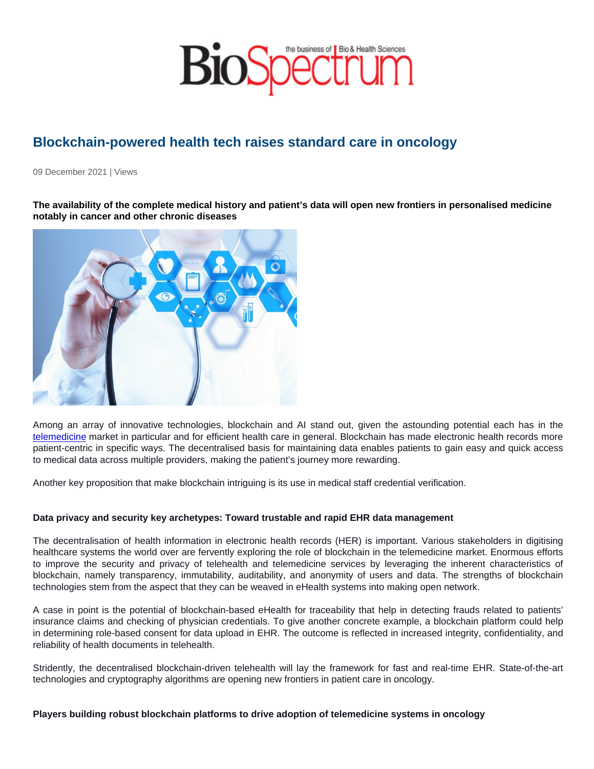## Blockchain-powered health tech raises standard care in oncology

09 December 2021 | Views

The availability of the complete medical history and patient's data will open new frontiers in personalised medicine notably in cancer and other chronic diseases

Among an array of innovative technologies, blockchain and AI stand out, given the astounding potential each has in the [telemedicine](https://www.transparencymarketresearch.com/telemedicine-market.html) market in particular and for efficient health care in general. Blockchain has made electronic health records more patient-centric in specific ways. The decentralised basis for maintaining data enables patients to gain easy and quick access to medical data across multiple providers, making the patient's journey more rewarding.

Another key proposition that make blockchain intriguing is its use in medical staff credential verification.

Data privacy and security key archetypes: Toward trustable and rapid EHR data management

The decentralisation of health information in electronic health records (HER) is important. Various stakeholders in digitising healthcare systems the world over are fervently exploring the role of blockchain in the telemedicine market. Enormous efforts to improve the security and privacy of telehealth and telemedicine services by leveraging the inherent characteristics of blockchain, namely transparency, immutability, auditability, and anonymity of users and data. The strengths of blockchain technologies stem from the aspect that they can be weaved in eHealth systems into making open network.

A case in point is the potential of blockchain-based eHealth for traceability that help in detecting frauds related to patients' insurance claims and checking of physician credentials. To give another concrete example, a blockchain platform could help in determining role-based consent for data upload in EHR. The outcome is reflected in increased integrity, confidentiality, and reliability of health documents in telehealth.

Stridently, the decentralised blockchain-driven telehealth will lay the framework for fast and real-time EHR. State-of-the-art technologies and cryptography algorithms are opening new frontiers in patient care in oncology.

Players building robust blockchain platforms to drive adoption of telemedicine systems in oncology